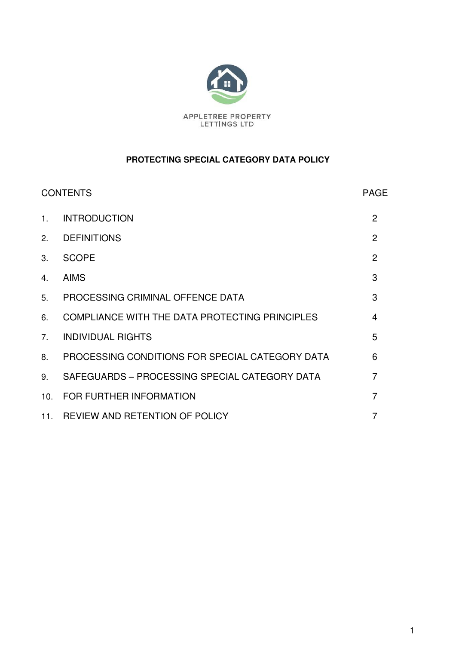

## **PROTECTING SPECIAL CATEGORY DATA POLICY**

| <b>CONTENTS</b> |                                                 | <b>PAGE</b>    |
|-----------------|-------------------------------------------------|----------------|
| $1_{-}$         | <b>INTRODUCTION</b>                             | 2              |
| 2.              | <b>DEFINITIONS</b>                              | $\overline{2}$ |
| 3.              | <b>SCOPE</b>                                    | 2              |
| 4.              | <b>AIMS</b>                                     | 3              |
| 5.              | PROCESSING CRIMINAL OFFENCE DATA                | 3              |
| 6.              | COMPLIANCE WITH THE DATA PROTECTING PRINCIPLES  | $\overline{4}$ |
| $7_{\cdot}$     | <b>INDIVIDUAL RIGHTS</b>                        | 5              |
| 8.              | PROCESSING CONDITIONS FOR SPECIAL CATEGORY DATA | 6              |
| 9.              | SAFEGUARDS - PROCESSING SPECIAL CATEGORY DATA   | $\overline{7}$ |
| 10.             | FOR FURTHER INFORMATION                         | 7              |
|                 | 11. REVIEW AND RETENTION OF POLICY              |                |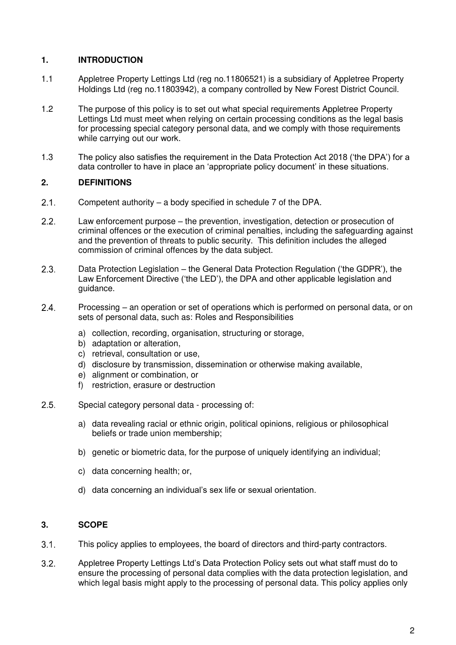## **1. INTRODUCTION**

- 1.1 Appletree Property Lettings Ltd (reg no.11806521) is a subsidiary of Appletree Property Holdings Ltd (reg no.11803942), a company controlled by New Forest District Council.
- 1.2 The purpose of this policy is to set out what special requirements Appletree Property Lettings Ltd must meet when relying on certain processing conditions as the legal basis for processing special category personal data, and we comply with those requirements while carrying out our work.
- 1.3 The policy also satisfies the requirement in the Data Protection Act 2018 ('the DPA') for a data controller to have in place an 'appropriate policy document' in these situations.

## **2. DEFINITIONS**

- Competent authority a body specified in schedule 7 of the DPA.
- Law enforcement purpose the prevention, investigation, detection or prosecution of criminal offences or the execution of criminal penalties, including the safeguarding against and the prevention of threats to public security. This definition includes the alleged commission of criminal offences by the data subject.
- Data Protection Legislation the General Data Protection Regulation ('the GDPR'), the Law Enforcement Directive ('the LED'), the DPA and other applicable legislation and guidance.
- Processing an operation or set of operations which is performed on personal data, or on sets of personal data, such as: Roles and Responsibilities
	- a) collection, recording, organisation, structuring or storage,
	- b) adaptation or alteration,
	- c) retrieval, consultation or use,
	- d) disclosure by transmission, dissemination or otherwise making available,
	- e) alignment or combination, or
	- f) restriction, erasure or destruction
- 2.5. Special category personal data processing of:
	- a) data revealing racial or ethnic origin, political opinions, religious or philosophical beliefs or trade union membership;
	- b) genetic or biometric data, for the purpose of uniquely identifying an individual;
	- c) data concerning health; or,
	- d) data concerning an individual's sex life or sexual orientation.

#### **3. SCOPE**

- This policy applies to employees, the board of directors and third-party contractors.
- $3.2.$ Appletree Property Lettings Ltd's Data Protection Policy sets out what staff must do to ensure the processing of personal data complies with the data protection legislation, and which legal basis might apply to the processing of personal data. This policy applies only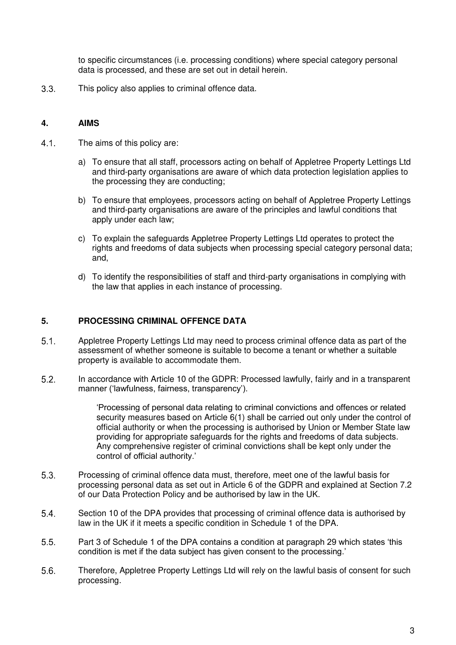to specific circumstances (i.e. processing conditions) where special category personal data is processed, and these are set out in detail herein.

This policy also applies to criminal offence data.

#### **4. AIMS**

- 4.1. The aims of this policy are:
	- a) To ensure that all staff, processors acting on behalf of Appletree Property Lettings Ltd and third-party organisations are aware of which data protection legislation applies to the processing they are conducting;
	- b) To ensure that employees, processors acting on behalf of Appletree Property Lettings and third-party organisations are aware of the principles and lawful conditions that apply under each law;
	- c) To explain the safeguards Appletree Property Lettings Ltd operates to protect the rights and freedoms of data subjects when processing special category personal data; and,
	- d) To identify the responsibilities of staff and third-party organisations in complying with the law that applies in each instance of processing.

#### **5. PROCESSING CRIMINAL OFFENCE DATA**

- Appletree Property Lettings Ltd may need to process criminal offence data as part of the assessment of whether someone is suitable to become a tenant or whether a suitable property is available to accommodate them.
- In accordance with Article 10 of the GDPR: Processed lawfully, fairly and in a transparent manner ('lawfulness, fairness, transparency').

'Processing of personal data relating to criminal convictions and offences or related security measures based on Article 6(1) shall be carried out only under the control of official authority or when the processing is authorised by Union or Member State law providing for appropriate safeguards for the rights and freedoms of data subjects. Any comprehensive register of criminal convictions shall be kept only under the control of official authority.'

- Processing of criminal offence data must, therefore, meet one of the lawful basis for processing personal data as set out in Article 6 of the GDPR and explained at Section 7.2 of our Data Protection Policy and be authorised by law in the UK.
- Section 10 of the DPA provides that processing of criminal offence data is authorised by law in the UK if it meets a specific condition in Schedule 1 of the DPA.
- Part 3 of Schedule 1 of the DPA contains a condition at paragraph 29 which states 'this condition is met if the data subject has given consent to the processing.'
- Therefore, Appletree Property Lettings Ltd will rely on the lawful basis of consent for such processing.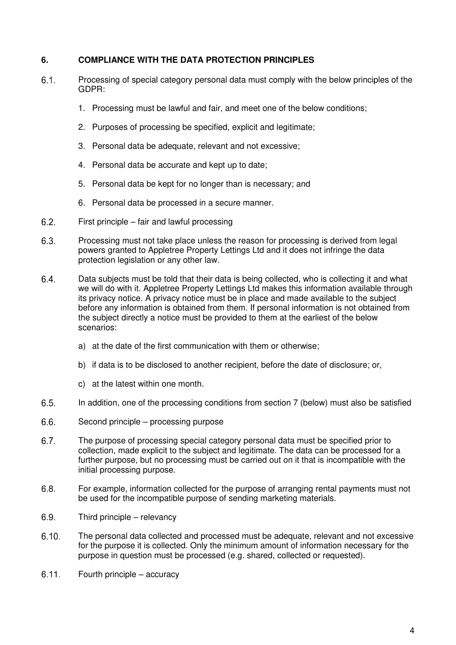#### **6. COMPLIANCE WITH THE DATA PROTECTION PRINCIPLES**

- Processing of special category personal data must comply with the below principles of the GDPR:
	- 1. Processing must be lawful and fair, and meet one of the below conditions;
	- 2. Purposes of processing be specified, explicit and legitimate;
	- 3. Personal data be adequate, relevant and not excessive;
	- 4. Personal data be accurate and kept up to date;
	- 5. Personal data be kept for no longer than is necessary; and
	- 6. Personal data be processed in a secure manner.
- First principle fair and lawful processing
- Processing must not take place unless the reason for processing is derived from legal powers granted to Appletree Property Lettings Ltd and it does not infringe the data protection legislation or any other law.
- Data subjects must be told that their data is being collected, who is collecting it and what we will do with it. Appletree Property Lettings Ltd makes this information available through its privacy notice. A privacy notice must be in place and made available to the subject before any information is obtained from them. If personal information is not obtained from the subject directly a notice must be provided to them at the earliest of the below scenarios:
	- a) at the date of the first communication with them or otherwise;
	- b) if data is to be disclosed to another recipient, before the date of disclosure; or,
	- c) at the latest within one month.
- In addition, one of the processing conditions from section 7 (below) must also be satisfied
- Second principle processing purpose
- The purpose of processing special category personal data must be specified prior to collection, made explicit to the subject and legitimate. The data can be processed for a further purpose, but no processing must be carried out on it that is incompatible with the initial processing purpose.
- For example, information collected for the purpose of arranging rental payments must not be used for the incompatible purpose of sending marketing materials.
- 6.9. Third principle relevancy
- The personal data collected and processed must be adequate, relevant and not excessive for the purpose it is collected. Only the minimum amount of information necessary for the purpose in question must be processed (e.g. shared, collected or requested).
- Fourth principle accuracy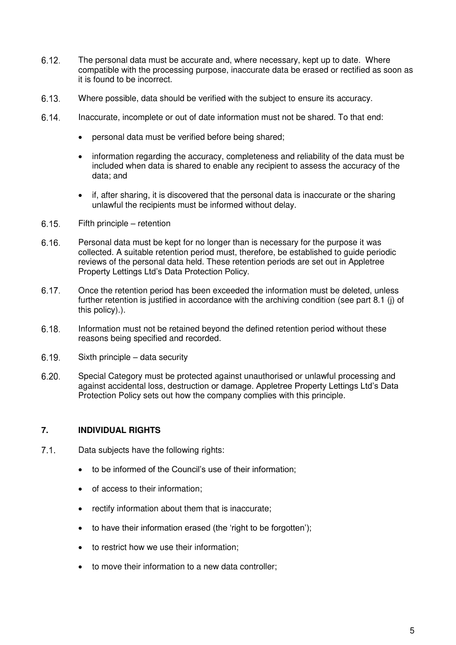- The personal data must be accurate and, where necessary, kept up to date. Where compatible with the processing purpose, inaccurate data be erased or rectified as soon as it is found to be incorrect.
- Where possible, data should be verified with the subject to ensure its accuracy.
- 6.14. Inaccurate, incomplete or out of date information must not be shared. To that end:
	- personal data must be verified before being shared;
	- information regarding the accuracy, completeness and reliability of the data must be included when data is shared to enable any recipient to assess the accuracy of the data; and
	- if, after sharing, it is discovered that the personal data is inaccurate or the sharing unlawful the recipients must be informed without delay.
- Fifth principle retention
- Personal data must be kept for no longer than is necessary for the purpose it was collected. A suitable retention period must, therefore, be established to guide periodic reviews of the personal data held. These retention periods are set out in Appletree Property Lettings Ltd's Data Protection Policy.
- Once the retention period has been exceeded the information must be deleted, unless further retention is justified in accordance with the archiving condition (see part 8.1 (j) of this policy).).
- Information must not be retained beyond the defined retention period without these reasons being specified and recorded.
- $6.19.$  Sixth principle data security
- Special Category must be protected against unauthorised or unlawful processing and against accidental loss, destruction or damage. Appletree Property Lettings Ltd's Data Protection Policy sets out how the company complies with this principle.

#### **7. INDIVIDUAL RIGHTS**

- 7.1. Data subjects have the following rights:
	- to be informed of the Council's use of their information;
	- of access to their information;
	- rectify information about them that is inaccurate;
	- to have their information erased (the 'right to be forgotten');
	- to restrict how we use their information;
	- to move their information to a new data controller;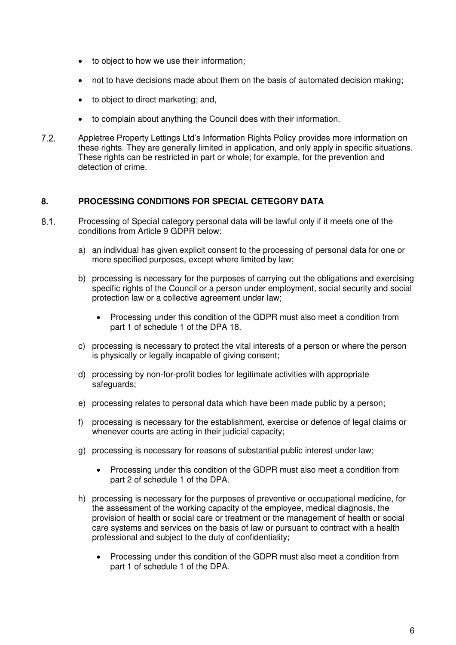- to object to how we use their information;
- not to have decisions made about them on the basis of automated decision making;
- to object to direct marketing; and,
- to complain about anything the Council does with their information.
- $7.2.$ Appletree Property Lettings Ltd's Information Rights Policy provides more information on these rights. They are generally limited in application, and only apply in specific situations. These rights can be restricted in part or whole; for example, for the prevention and detection of crime.

## **8. PROCESSING CONDITIONS FOR SPECIAL CETEGORY DATA**

- Processing of Special category personal data will be lawful only if it meets one of the conditions from Article 9 GDPR below:
	- a) an individual has given explicit consent to the processing of personal data for one or more specified purposes, except where limited by law;
	- b) processing is necessary for the purposes of carrying out the obligations and exercising specific rights of the Council or a person under employment, social security and social protection law or a collective agreement under law;
		- Processing under this condition of the GDPR must also meet a condition from part 1 of schedule 1 of the DPA 18.
	- c) processing is necessary to protect the vital interests of a person or where the person is physically or legally incapable of giving consent;
	- d) processing by non-for-profit bodies for legitimate activities with appropriate safeguards;
	- e) processing relates to personal data which have been made public by a person;
	- f) processing is necessary for the establishment, exercise or defence of legal claims or whenever courts are acting in their judicial capacity;
	- g) processing is necessary for reasons of substantial public interest under law;
		- Processing under this condition of the GDPR must also meet a condition from part 2 of schedule 1 of the DPA.
	- h) processing is necessary for the purposes of preventive or occupational medicine, for the assessment of the working capacity of the employee, medical diagnosis, the provision of health or social care or treatment or the management of health or social care systems and services on the basis of law or pursuant to contract with a health professional and subject to the duty of confidentiality;
		- Processing under this condition of the GDPR must also meet a condition from part 1 of schedule 1 of the DPA.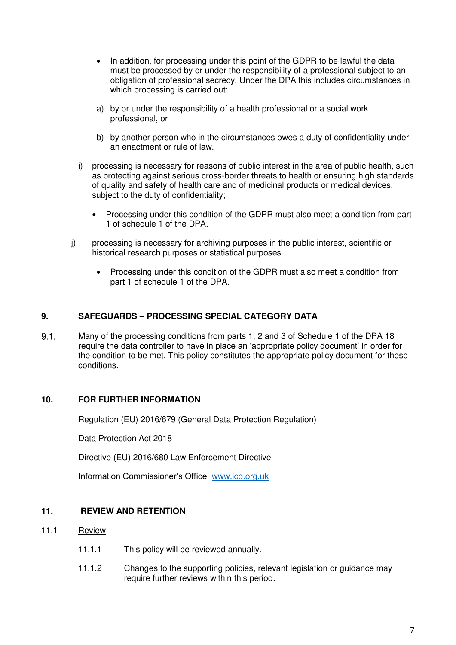- In addition, for processing under this point of the GDPR to be lawful the data must be processed by or under the responsibility of a professional subject to an obligation of professional secrecy. Under the DPA this includes circumstances in which processing is carried out:
- a) by or under the responsibility of a health professional or a social work professional, or
- b) by another person who in the circumstances owes a duty of confidentiality under an enactment or rule of law.
- i) processing is necessary for reasons of public interest in the area of public health, such as protecting against serious cross-border threats to health or ensuring high standards of quality and safety of health care and of medicinal products or medical devices, subject to the duty of confidentiality;
	- Processing under this condition of the GDPR must also meet a condition from part 1 of schedule 1 of the DPA.
- j) processing is necessary for archiving purposes in the public interest, scientific or historical research purposes or statistical purposes.
	- Processing under this condition of the GDPR must also meet a condition from part 1 of schedule 1 of the DPA.

## **9. SAFEGUARDS – PROCESSING SPECIAL CATEGORY DATA**

 Many of the processing conditions from parts 1, 2 and 3 of Schedule 1 of the DPA 18 require the data controller to have in place an 'appropriate policy document' in order for the condition to be met. This policy constitutes the appropriate policy document for these conditions.

#### **10. FOR FURTHER INFORMATION**

Regulation (EU) 2016/679 (General Data Protection Regulation)

Data Protection Act 2018

Directive (EU) 2016/680 Law Enforcement Directive

Information Commissioner's Office: [www.ico.org.uk](http://www.ico.org.uk/)

#### **11. REVIEW AND RETENTION**

- 11.1 Review
	- 11.1.1 This policy will be reviewed annually.
	- 11.1.2 Changes to the supporting policies, relevant legislation or guidance may require further reviews within this period.